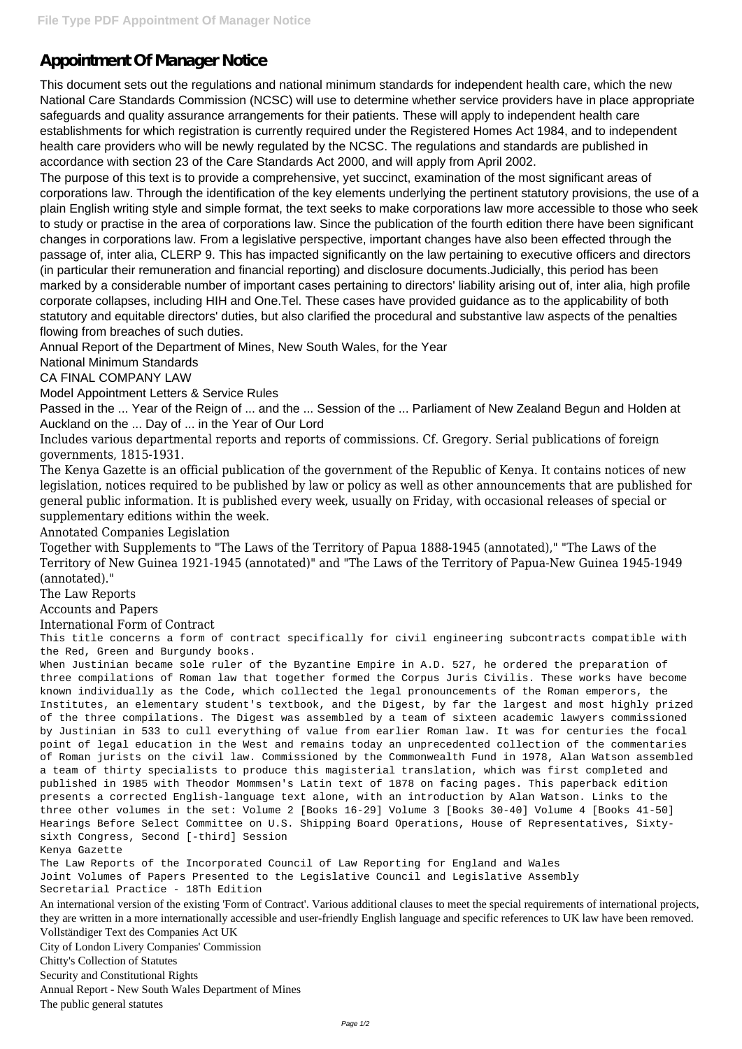# **Appointment Of Manager Notice**

This document sets out the regulations and national minimum standards for independent health care, which the new National Care Standards Commission (NCSC) will use to determine whether service providers have in place appropriate safeguards and quality assurance arrangements for their patients. These will apply to independent health care establishments for which registration is currently required under the Registered Homes Act 1984, and to independent health care providers who will be newly regulated by the NCSC. The regulations and standards are published in accordance with section 23 of the Care Standards Act 2000, and will apply from April 2002.

The purpose of this text is to provide a comprehensive, yet succinct, examination of the most significant areas of corporations law. Through the identification of the key elements underlying the pertinent statutory provisions, the use of a plain English writing style and simple format, the text seeks to make corporations law more accessible to those who seek to study or practise in the area of corporations law. Since the publication of the fourth edition there have been significant changes in corporations law. From a legislative perspective, important changes have also been effected through the passage of, inter alia, CLERP 9. This has impacted significantly on the law pertaining to executive officers and directors (in particular their remuneration and financial reporting) and disclosure documents.Judicially, this period has been marked by a considerable number of important cases pertaining to directors' liability arising out of, inter alia, high profile corporate collapses, including HIH and One.Tel. These cases have provided guidance as to the applicability of both statutory and equitable directors' duties, but also clarified the procedural and substantive law aspects of the penalties flowing from breaches of such duties.

Annual Report of the Department of Mines, New South Wales, for the Year

National Minimum Standards

CA FINAL COMPANY LAW

Model Appointment Letters & Service Rules

Passed in the ... Year of the Reign of ... and the ... Session of the ... Parliament of New Zealand Begun and Holden at Auckland on the ... Day of ... in the Year of Our Lord

Includes various departmental reports and reports of commissions. Cf. Gregory. Serial publications of foreign governments, 1815-1931.

The Kenya Gazette is an official publication of the government of the Republic of Kenya. It contains notices of new legislation, notices required to be published by law or policy as well as other announcements that are published for general public information. It is published every week, usually on Friday, with occasional releases of special or supplementary editions within the week.

Annotated Companies Legislation

Together with Supplements to "The Laws of the Territory of Papua 1888-1945 (annotated)," "The Laws of the Territory of New Guinea 1921-1945 (annotated)" and "The Laws of the Territory of Papua-New Guinea 1945-1949 (annotated)."

The Law Reports

Accounts and Papers

International Form of Contract

This title concerns a form of contract specifically for civil engineering subcontracts compatible with the Red, Green and Burgundy books.

When Justinian became sole ruler of the Byzantine Empire in A.D. 527, he ordered the preparation of three compilations of Roman law that together formed the Corpus Juris Civilis. These works have become known individually as the Code, which collected the legal pronouncements of the Roman emperors, the Institutes, an elementary student's textbook, and the Digest, by far the largest and most highly prized of the three compilations. The Digest was assembled by a team of sixteen academic lawyers commissioned by Justinian in 533 to cull everything of value from earlier Roman law. It was for centuries the focal point of legal education in the West and remains today an unprecedented collection of the commentaries of Roman jurists on the civil law. Commissioned by the Commonwealth Fund in 1978, Alan Watson assembled a team of thirty specialists to produce this magisterial translation, which was first completed and published in 1985 with Theodor Mommsen's Latin text of 1878 on facing pages. This paperback edition presents a corrected English-language text alone, with an introduction by Alan Watson. Links to the three other volumes in the set: Volume 2 [Books 16-29] Volume 3 [Books 30-40] Volume 4 [Books 41-50] Hearings Before Select Committee on U.S. Shipping Board Operations, House of Representatives, Sixtysixth Congress, Second [-third] Session Kenya Gazette The Law Reports of the Incorporated Council of Law Reporting for England and Wales Joint Volumes of Papers Presented to the Legislative Council and Legislative Assembly Secretarial Practice - 18Th Edition An international version of the existing 'Form of Contract'. Various additional clauses to meet the special requirements of international projects, they are written in a more internationally accessible and user-friendly English language and specific references to UK law have been removed. Vollständiger Text des Companies Act UK City of London Livery Companies' Commission Chitty's Collection of Statutes Security and Constitutional Rights Annual Report - New South Wales Department of Mines The public general statutes